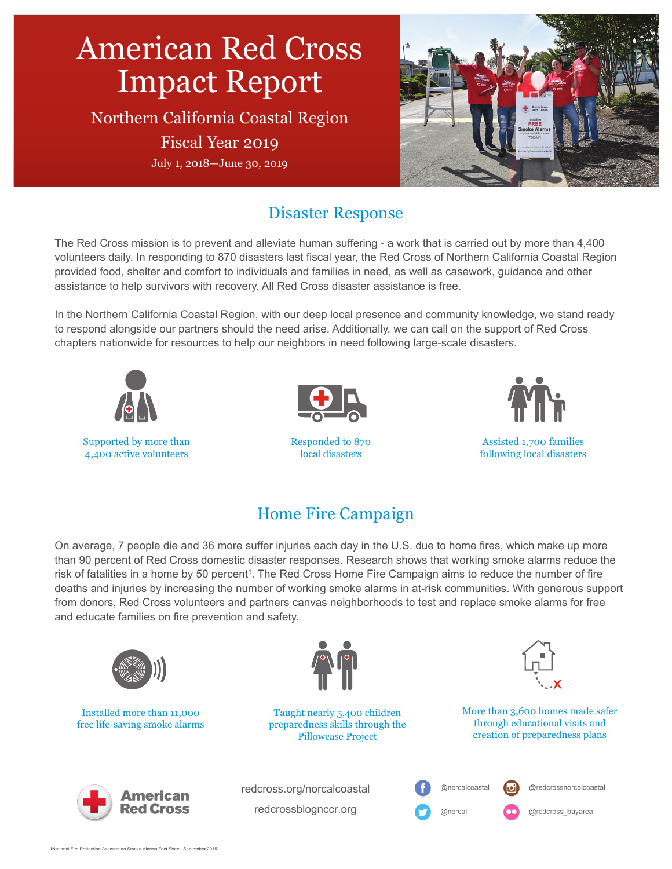

## Disaster Response

The Red Cross mission is to prevent and alleviate human suffering - a work that is carried out by more than 4,400 volunteers daily. In responding to 870 disasters last fiscal year, the Red Cross of Northern California Coastal Region provided food, shelter and comfort to individuals and families in need, as well as casework, guidance and other assistance to help survivors with recovery. All Red Cross disaster assistance is free.

In the Northern California Coastal Region, with our deep local presence and community knowledge, we stand ready to respond alongside our partners should the need arise. Additionally, we can call on the support of Red Cross chapters nationwide for resources to help our neighbors in need following large-scale disasters.



# Home Fire Campaign

On average, 7 people die and 36 more suffer injuries each day in the U.S. due to home fires, which make up more than 90 percent of Red Cross domestic disaster responses. Research shows that working smoke alarms reduce the risk of fatalities in a home by 50 percent<sup>1</sup>. The Red Cross Home Fire Campaign aims to reduce the number of fire deaths and injuries by increasing the number of working smoke alarms in at-risk communities. With generous support from donors, Red Cross volunteers and partners canvas neighborhoods to test and replace smoke alarms for free and educate families on fire prevention and safety.